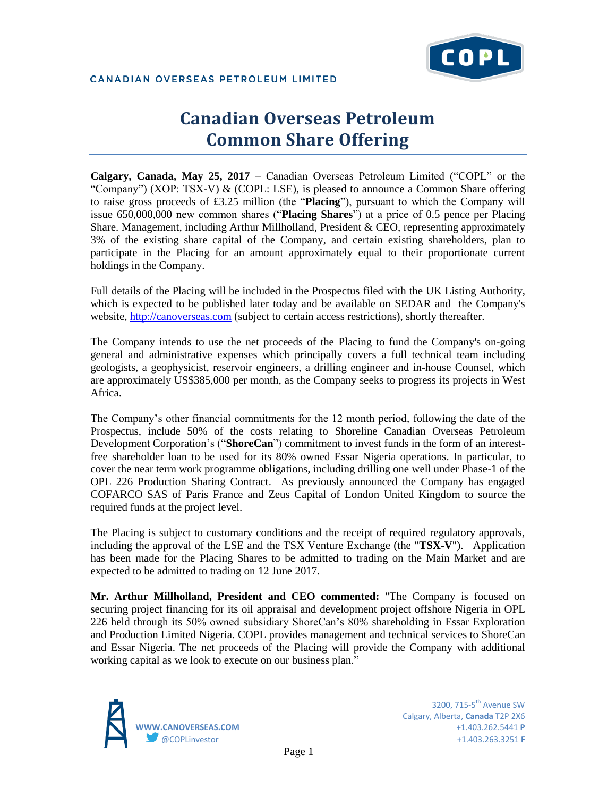

CANADIAN OVERSEAS PETROLEUM LIMITED

# **Canadian Overseas Petroleum Common Share Offering**

**Calgary, Canada, May 25, 2017** – Canadian Overseas Petroleum Limited ("COPL" or the "Company") (XOP: TSX-V)  $\&$  (COPL: LSE), is pleased to announce a Common Share offering to raise gross proceeds of £3.25 million (the "**Placing**"), pursuant to which the Company will issue 650,000,000 new common shares ("**Placing Shares**") at a price of 0.5 pence per Placing Share. Management, including Arthur Millholland, President & CEO, representing approximately 3% of the existing share capital of the Company, and certain existing shareholders, plan to participate in the Placing for an amount approximately equal to their proportionate current holdings in the Company.

Full details of the Placing will be included in the Prospectus filed with the UK Listing Authority, which is expected to be published later today and be available on SEDAR and the Company's website, [http://canoverseas.com](http://canoverseas.com/) (subject to certain access restrictions), shortly thereafter.

The Company intends to use the net proceeds of the Placing to fund the Company's on-going general and administrative expenses which principally covers a full technical team including geologists, a geophysicist, reservoir engineers, a drilling engineer and in-house Counsel, which are approximately US\$385,000 per month, as the Company seeks to progress its projects in West Africa.

The Company's other financial commitments for the 12 month period, following the date of the Prospectus, include 50% of the costs relating to Shoreline Canadian Overseas Petroleum Development Corporation's ("**ShoreCan**") commitment to invest funds in the form of an interestfree shareholder loan to be used for its 80% owned Essar Nigeria operations. In particular, to cover the near term work programme obligations, including drilling one well under Phase-1 of the OPL 226 Production Sharing Contract. As previously announced the Company has engaged COFARCO SAS of Paris France and Zeus Capital of London United Kingdom to source the required funds at the project level.

The Placing is subject to customary conditions and the receipt of required regulatory approvals, including the approval of the LSE and the TSX Venture Exchange (the "**TSX-V**"). Application has been made for the Placing Shares to be admitted to trading on the Main Market and are expected to be admitted to trading on 12 June 2017.

**Mr. Arthur Millholland, President and CEO commented:** "The Company is focused on securing project financing for its oil appraisal and development project offshore Nigeria in OPL 226 held through its 50% owned subsidiary ShoreCan's 80% shareholding in Essar Exploration and Production Limited Nigeria. COPL provides management and technical services to ShoreCan and Essar Nigeria. The net proceeds of the Placing will provide the Company with additional working capital as we look to execute on our business plan."



3200. 715- $5<sup>th</sup>$  Avenue SW Calgary, Alberta, **Canada** T2P 2X6 **WWW.CANOVERSEAS.COM** +1.403.262.5441 **P** @COPLinvestor +1.403.263.3251 **F**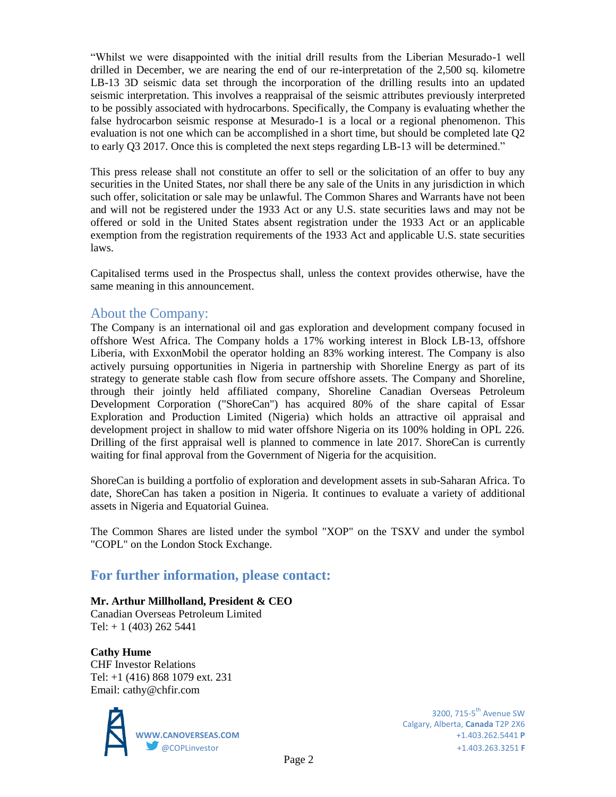"Whilst we were disappointed with the initial drill results from the Liberian Mesurado-1 well drilled in December, we are nearing the end of our re-interpretation of the 2,500 sq. kilometre LB-13 3D seismic data set through the incorporation of the drilling results into an updated seismic interpretation. This involves a reappraisal of the seismic attributes previously interpreted to be possibly associated with hydrocarbons. Specifically, the Company is evaluating whether the false hydrocarbon seismic response at Mesurado-1 is a local or a regional phenomenon. This evaluation is not one which can be accomplished in a short time, but should be completed late Q2 to early Q3 2017. Once this is completed the next steps regarding LB-13 will be determined."

This press release shall not constitute an offer to sell or the solicitation of an offer to buy any securities in the United States, nor shall there be any sale of the Units in any jurisdiction in which such offer, solicitation or sale may be unlawful. The Common Shares and Warrants have not been and will not be registered under the 1933 Act or any U.S. state securities laws and may not be offered or sold in the United States absent registration under the 1933 Act or an applicable exemption from the registration requirements of the 1933 Act and applicable U.S. state securities laws.

Capitalised terms used in the Prospectus shall, unless the context provides otherwise, have the same meaning in this announcement.

## About the Company:

The Company is an international oil and gas exploration and development company focused in offshore West Africa. The Company holds a 17% working interest in Block LB-13, offshore Liberia, with ExxonMobil the operator holding an 83% working interest. The Company is also actively pursuing opportunities in Nigeria in partnership with Shoreline Energy as part of its strategy to generate stable cash flow from secure offshore assets. The Company and Shoreline, through their jointly held affiliated company, Shoreline Canadian Overseas Petroleum Development Corporation ("ShoreCan") has acquired 80% of the share capital of Essar Exploration and Production Limited (Nigeria) which holds an attractive oil appraisal and development project in shallow to mid water offshore Nigeria on its 100% holding in OPL 226. Drilling of the first appraisal well is planned to commence in late 2017. ShoreCan is currently waiting for final approval from the Government of Nigeria for the acquisition.

ShoreCan is building a portfolio of exploration and development assets in sub-Saharan Africa. To date, ShoreCan has taken a position in Nigeria. It continues to evaluate a variety of additional assets in Nigeria and Equatorial Guinea.

The Common Shares are listed under the symbol "XOP" on the TSXV and under the symbol "COPL" on the London Stock Exchange.

## **For further information, please contact:**

### **Mr. Arthur Millholland, President & CEO**

Canadian Overseas Petroleum Limited Tel:  $+ 1 (403) 262 5441$ 

### **Cathy Hume**

CHF Investor Relations Tel: +1 (416) 868 1079 ext. 231 Email: cathy@chfir.com



Calgary, Alberta, **Canada** T2P 2X6 **WWW.CANOVERSEAS.COM** +1.403.262.5441 **P** @COPLinvestor +1.403.263.3251 **F**